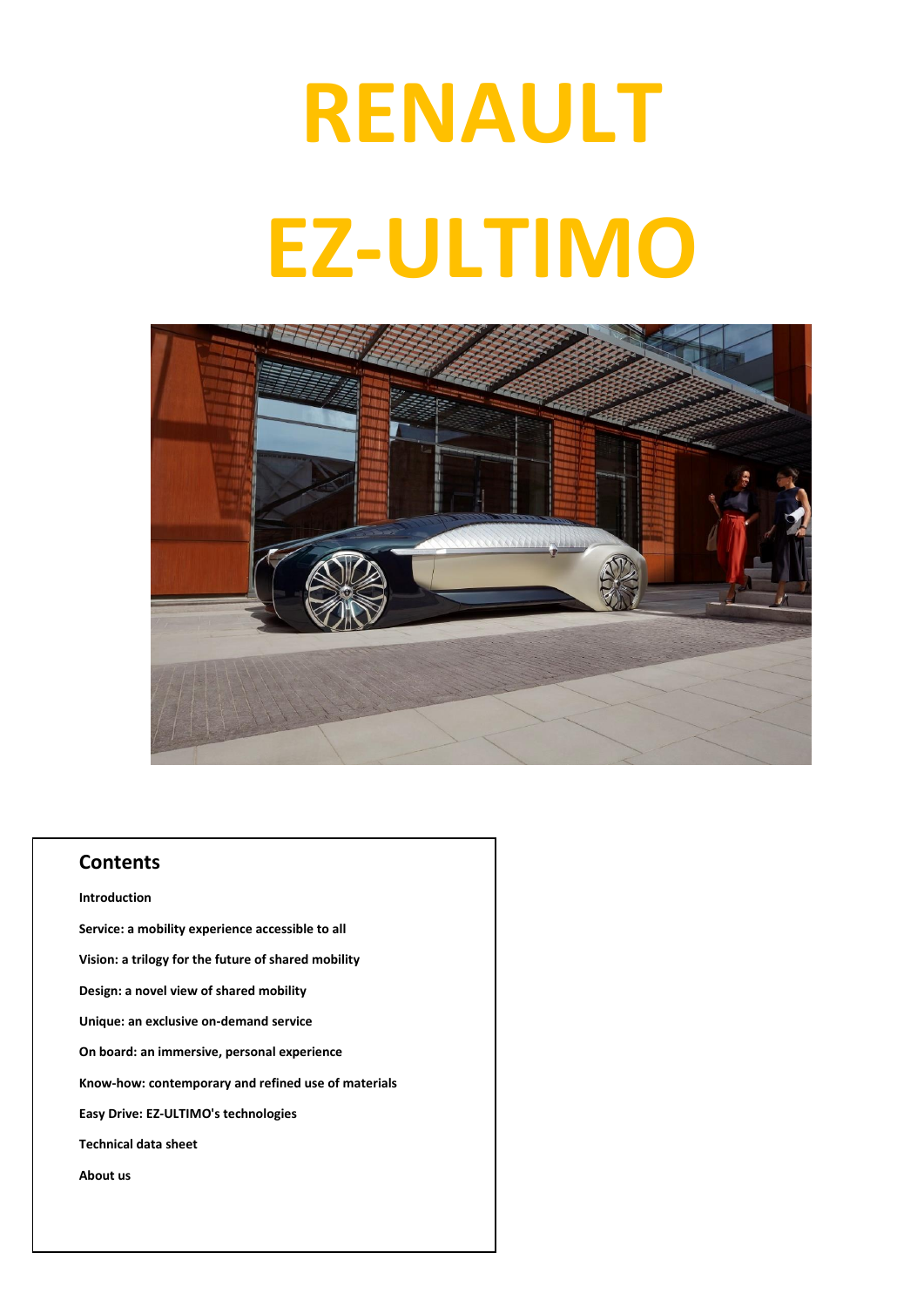# **RENAULT EZ-ULTIMO**



### **Contents**

**Introduction Service: a mobility experience accessible to all Vision: a trilogy for the future of shared mobility Design: a novel view of shared mobility Unique: an exclusive on-demand service On board: an immersive, personal experience Know-how: contemporary and refined use of materials Easy Drive: EZ-ULTIMO's technologies Technical data sheet About us**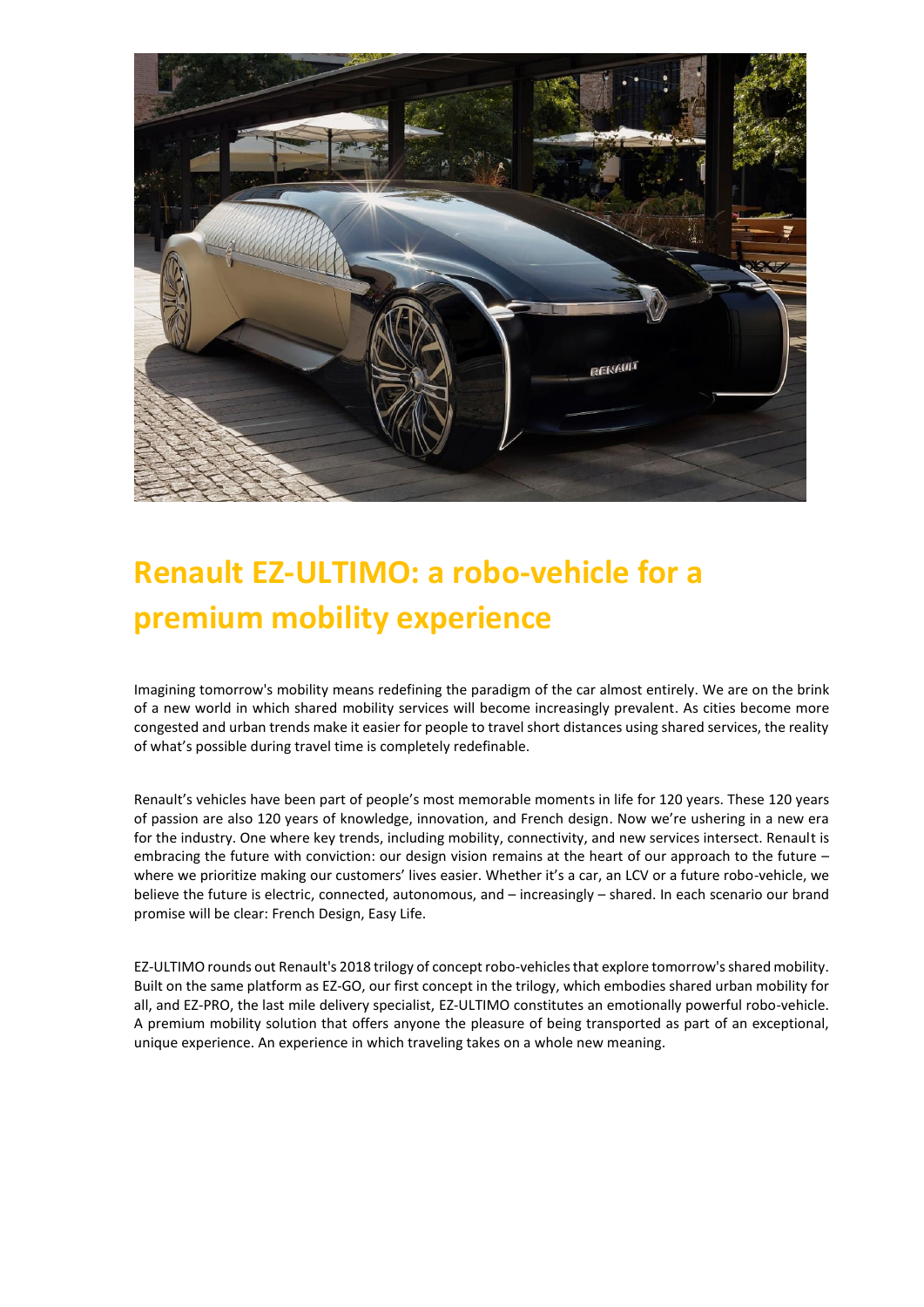

# **Renault EZ-ULTIMO: a robo-vehicle for a premium mobility experience**

Imagining tomorrow's mobility means redefining the paradigm of the car almost entirely. We are on the brink of a new world in which shared mobility services will become increasingly prevalent. As cities become more congested and urban trends make it easier for people to travel short distances using shared services, the reality of what's possible during travel time is completely redefinable.

Renault's vehicles have been part of people's most memorable moments in life for 120 years. These 120 years of passion are also 120 years of knowledge, innovation, and French design. Now we're ushering in a new era for the industry. One where key trends, including mobility, connectivity, and new services intersect. Renault is embracing the future with conviction: our design vision remains at the heart of our approach to the future – where we prioritize making our customers' lives easier. Whether it's a car, an LCV or a future robo-vehicle, we believe the future is electric, connected, autonomous, and – increasingly – shared. In each scenario our brand promise will be clear: French Design, Easy Life.

EZ-ULTIMO rounds out Renault's 2018 trilogy of concept robo-vehicles that explore tomorrow's shared mobility. Built on the same platform as EZ-GO, our first concept in the trilogy, which embodies shared urban mobility for all, and EZ-PRO, the last mile delivery specialist, EZ-ULTIMO constitutes an emotionally powerful robo-vehicle. A premium mobility solution that offers anyone the pleasure of being transported as part of an exceptional, unique experience. An experience in which traveling takes on a whole new meaning.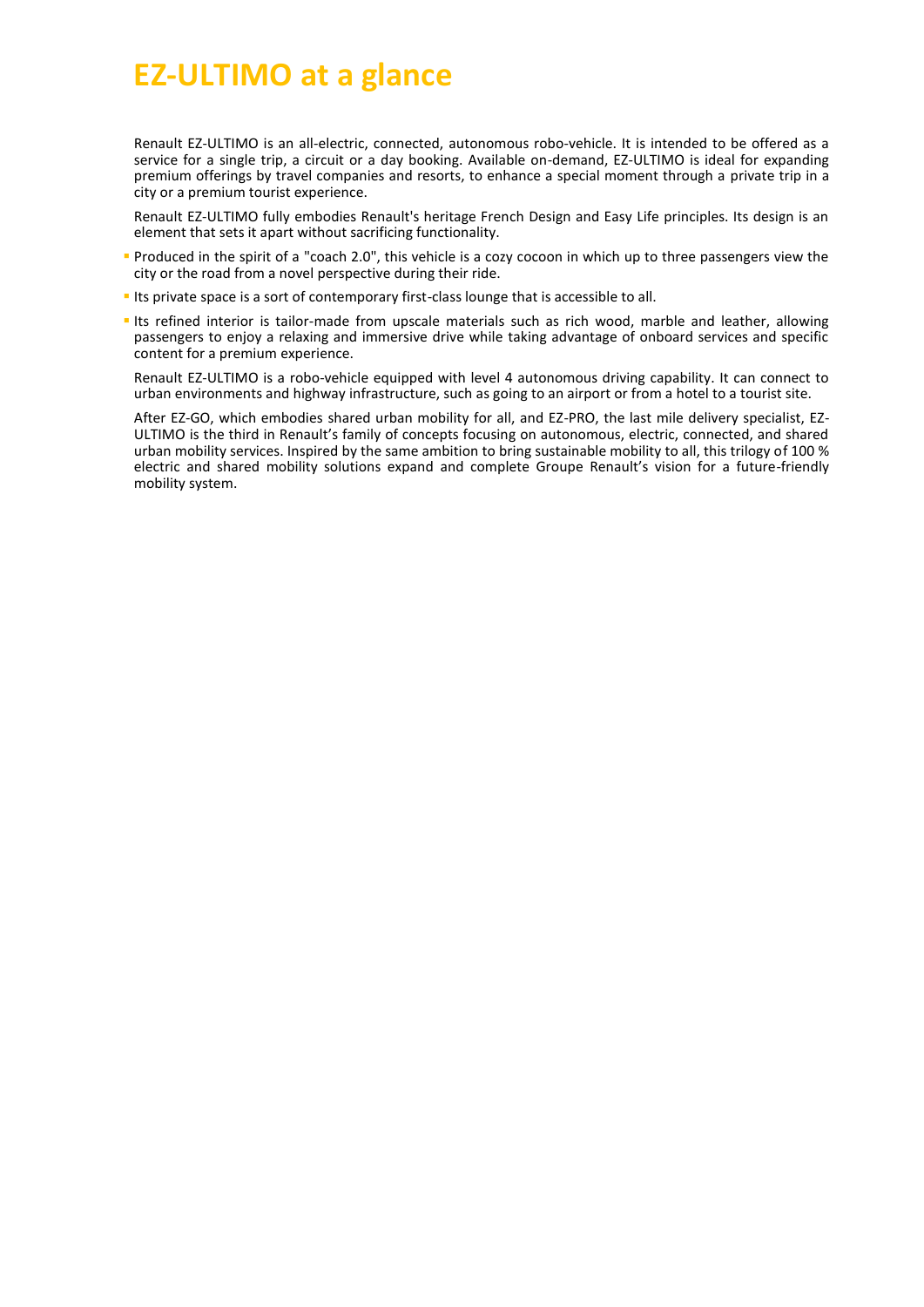# **EZ-ULTIMO at a glance**

Renault EZ-ULTIMO is an all-electric, connected, autonomous robo-vehicle. It is intended to be offered as a service for a single trip, a circuit or a day booking. Available on-demand, EZ-ULTIMO is ideal for expanding premium offerings by travel companies and resorts, to enhance a special moment through a private trip in a city or a premium tourist experience.

Renault EZ-ULTIMO fully embodies Renault's heritage French Design and Easy Life principles. Its design is an element that sets it apart without sacrificing functionality.

- Produced in the spirit of a "coach 2.0", this vehicle is a cozy cocoon in which up to three passengers view the city or the road from a novel perspective during their ride.
- Its private space is a sort of contemporary first-class lounge that is accessible to all.
- **Its refined interior is tailor-made from upscale materials such as rich wood, marble and leather, allowing** passengers to enjoy a relaxing and immersive drive while taking advantage of onboard services and specific content for a premium experience.

Renault EZ-ULTIMO is a robo-vehicle equipped with level 4 autonomous driving capability. It can connect to urban environments and highway infrastructure, such as going to an airport or from a hotel to a tourist site.

After EZ-GO, which embodies shared urban mobility for all, and EZ-PRO, the last mile delivery specialist, EZ-ULTIMO is the third in Renault's family of concepts focusing on autonomous, electric, connected, and shared urban mobility services. Inspired by the same ambition to bring sustainable mobility to all, this trilogy of 100 % electric and shared mobility solutions expand and complete Groupe Renault's vision for a future-friendly mobility system.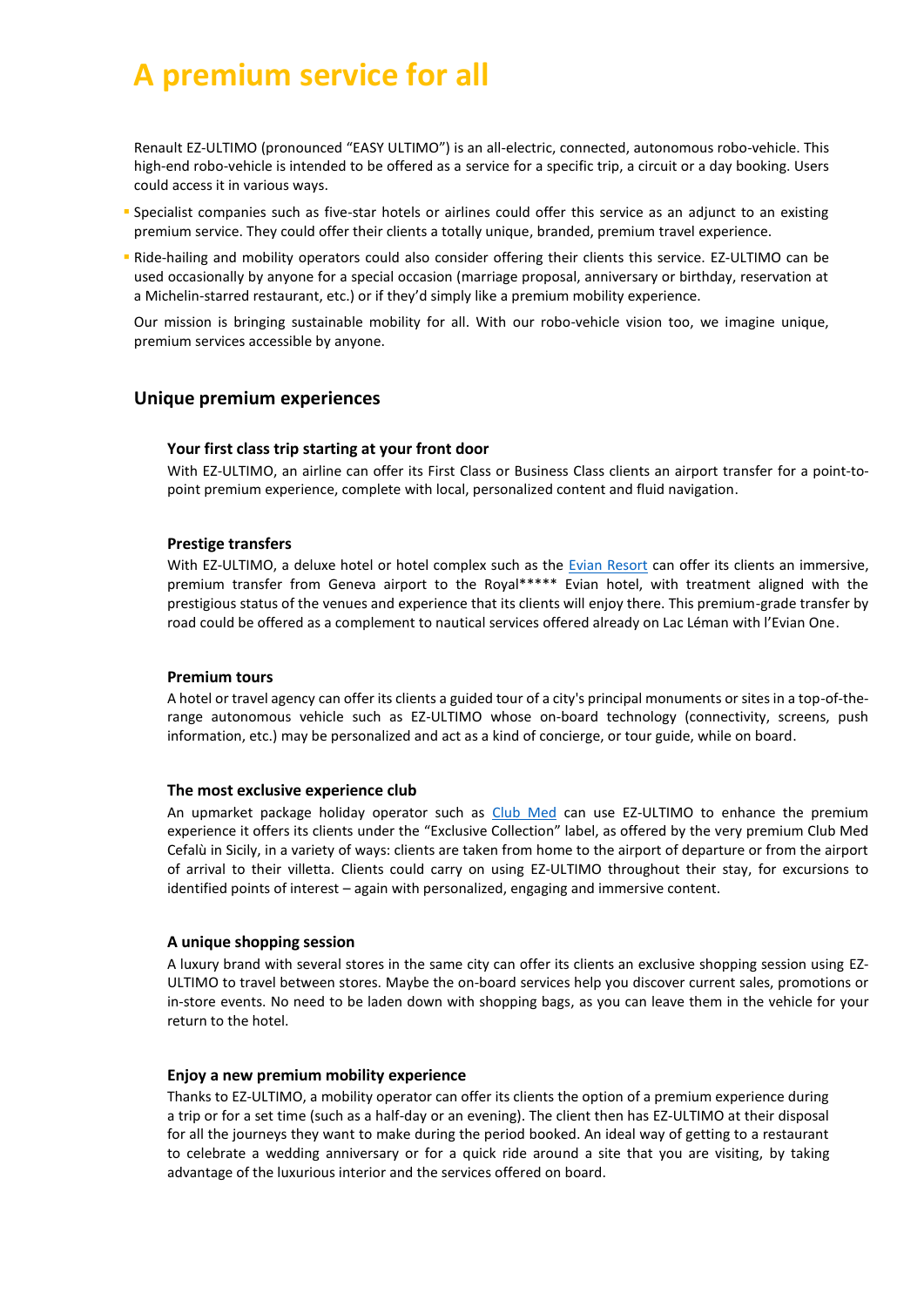# **A premium service for all**

Renault EZ-ULTIMO (pronounced "EASY ULTIMO") is an all-electric, connected, autonomous robo-vehicle. This high-end robo-vehicle is intended to be offered as a service for a specific trip, a circuit or a day booking. Users could access it in various ways.

- Specialist companies such as five-star hotels or airlines could offer this service as an adjunct to an existing premium service. They could offer their clients a totally unique, branded, premium travel experience.
- Ride-hailing and mobility operators could also consider offering their clients this service. EZ-ULTIMO can be used occasionally by anyone for a special occasion (marriage proposal, anniversary or birthday, reservation at a Michelin-starred restaurant, etc.) or if they'd simply like a premium mobility experience.

Our mission is bringing sustainable mobility for all. With our robo-vehicle vision too, we imagine unique, premium services accessible by anyone.

### **Unique premium experiences**

### **Your first class trip starting at your front door**

With EZ-ULTIMO, an airline can offer its First Class or Business Class clients an airport transfer for a point-topoint premium experience, complete with local, personalized content and fluid navigation.

#### **Prestige transfers**

With EZ-ULTIMO, a deluxe hotel or hotel complex such as the [Evian Resort](https://group.renault.com/wp-content/uploads/2018/09/partenaire_evian-resort_en.pdf) can offer its clients an immersive, premium transfer from Geneva airport to the Royal\*\*\*\*\* Evian hotel, with treatment aligned with the prestigious status of the venues and experience that its clients will enjoy there. This premium-grade transfer by road could be offered as a complement to nautical services offered already on Lac Léman with l'Evian One.

#### **Premium tours**

A hotel or travel agency can offer its clients a guided tour of a city's principal monuments or sites in a top-of-therange autonomous vehicle such as EZ-ULTIMO whose on-board technology (connectivity, screens, push information, etc.) may be personalized and act as a kind of concierge, or tour guide, while on board.

#### **The most exclusive experience club**

An upmarket package holiday operator such as [Club Med](https://group.renault.com/wp-content/uploads/2018/10/partenaire_club-med_en.pdf) can use EZ-ULTIMO to enhance the premium experience it offers its clients under the "Exclusive Collection" label, as offered by the very premium Club Med Cefalù in Sicily, in a variety of ways: clients are taken from home to the airport of departure or from the airport of arrival to their villetta. Clients could carry on using EZ-ULTIMO throughout their stay, for excursions to identified points of interest – again with personalized, engaging and immersive content.

### **A unique shopping session**

A luxury brand with several stores in the same city can offer its clients an exclusive shopping session using EZ-ULTIMO to travel between stores. Maybe the on-board services help you discover current sales, promotions or in-store events. No need to be laden down with shopping bags, as you can leave them in the vehicle for your return to the hotel.

#### **Enjoy a new premium mobility experience**

Thanks to EZ-ULTIMO, a mobility operator can offer its clients the option of a premium experience during a trip or for a set time (such as a half-day or an evening). The client then has EZ-ULTIMO at their disposal for all the journeys they want to make during the period booked. An ideal way of getting to a restaurant to celebrate a wedding anniversary or for a quick ride around a site that you are visiting, by taking advantage of the luxurious interior and the services offered on board.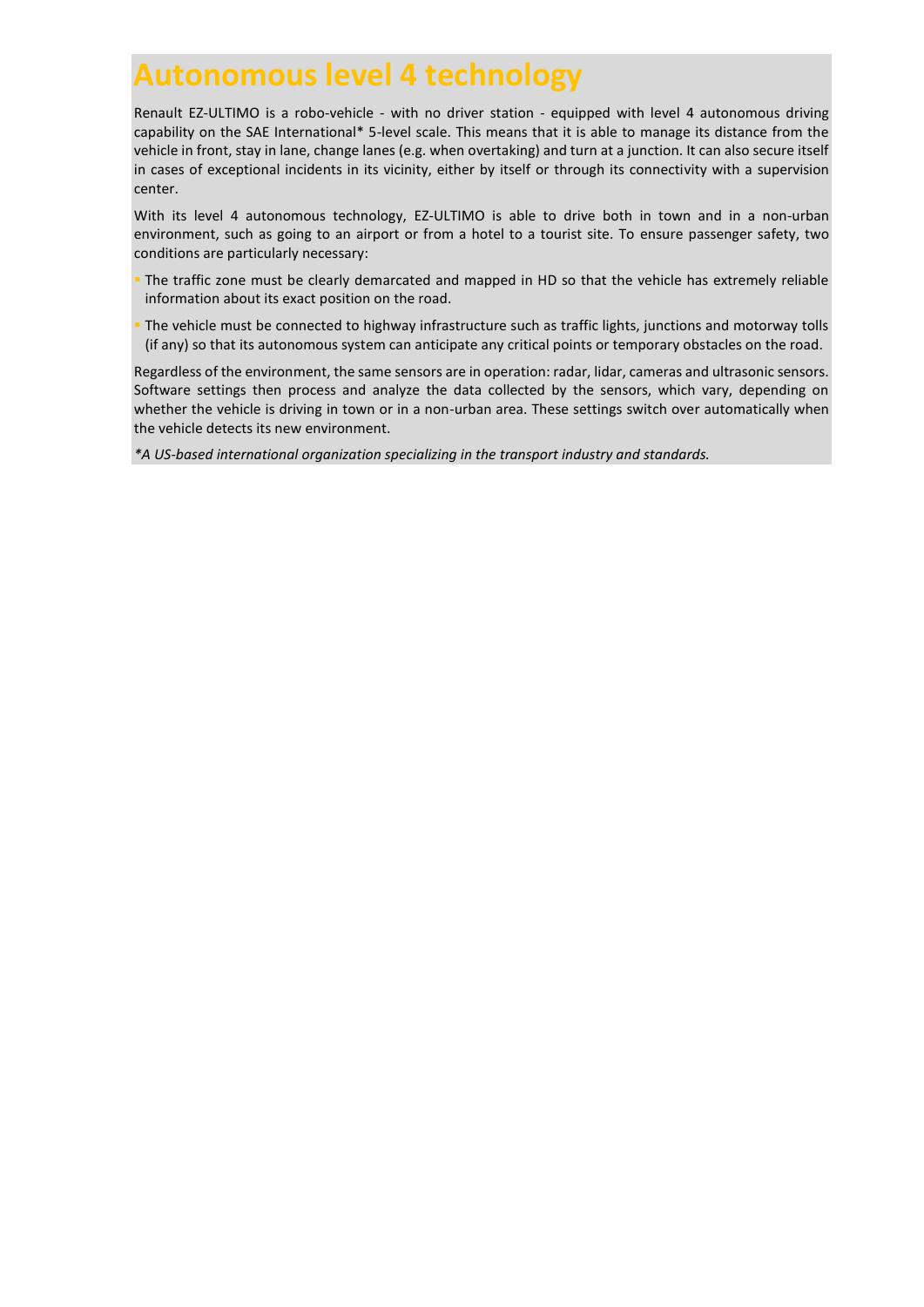## **Autonomous level 4 technology**

Renault EZ-ULTIMO is a robo-vehicle - with no driver station - equipped with level 4 autonomous driving capability on the SAE International\* 5-level scale. This means that it is able to manage its distance from the vehicle in front, stay in lane, change lanes (e.g. when overtaking) and turn at a junction. It can also secure itself in cases of exceptional incidents in its vicinity, either by itself or through its connectivity with a supervision center.

With its level 4 autonomous technology, EZ-ULTIMO is able to drive both in town and in a non-urban environment, such as going to an airport or from a hotel to a tourist site. To ensure passenger safety, two conditions are particularly necessary:

- The traffic zone must be clearly demarcated and mapped in HD so that the vehicle has extremely reliable information about its exact position on the road.
- The vehicle must be connected to highway infrastructure such as traffic lights, junctions and motorway tolls (if any) so that its autonomous system can anticipate any critical points or temporary obstacles on the road.

Regardless of the environment, the same sensors are in operation: radar, lidar, cameras and ultrasonic sensors. Software settings then process and analyze the data collected by the sensors, which vary, depending on whether the vehicle is driving in town or in a non-urban area. These settings switch over automatically when the vehicle detects its new environment.

*\*A US-based international organization specializing in the transport industry and standards.*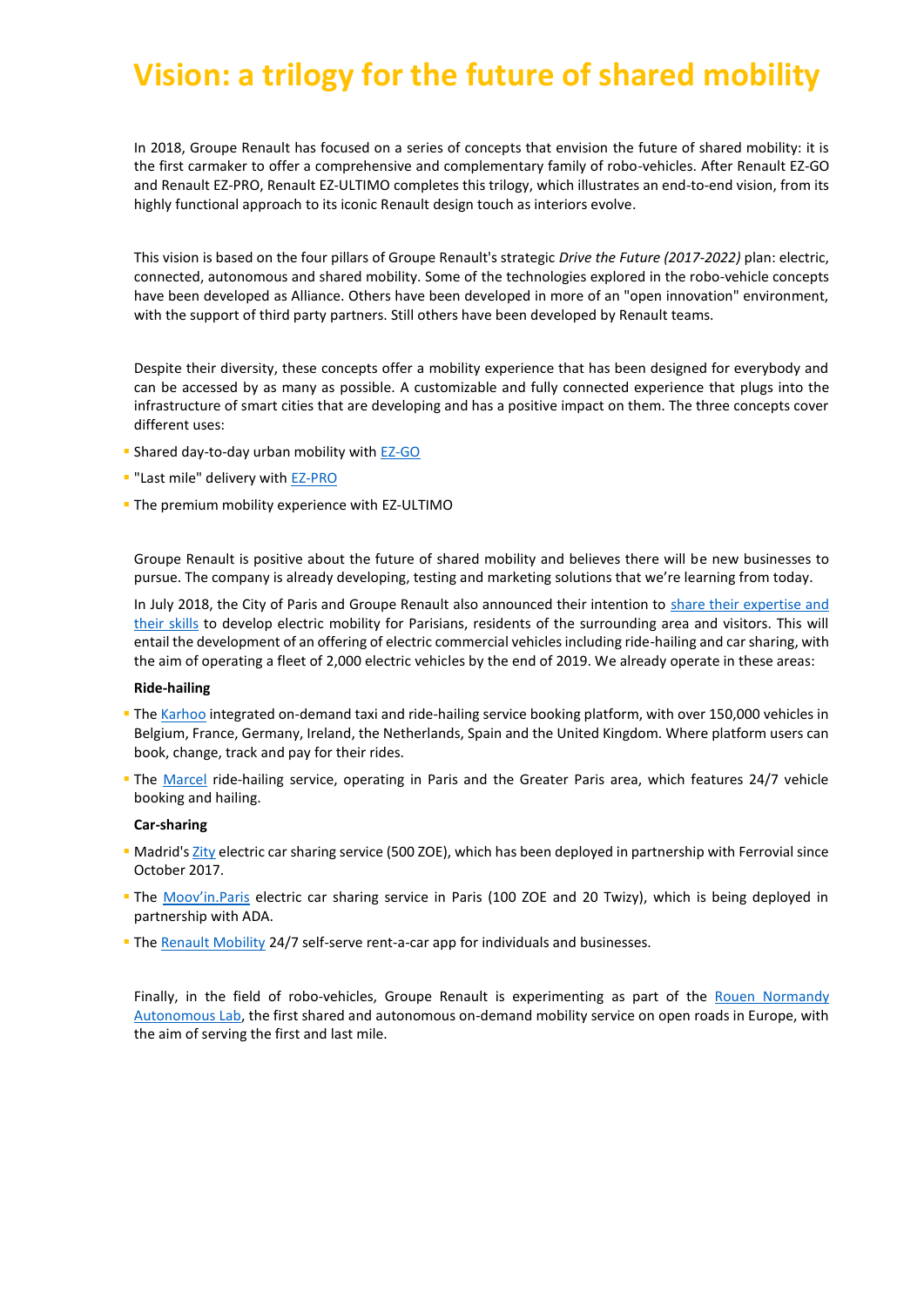# **Vision: a trilogy for the future of shared mobility**

In 2018, Groupe Renault has focused on a series of concepts that envision the future of shared mobility: it is the first carmaker to offer a comprehensive and complementary family of robo-vehicles. After Renault EZ-GO and Renault EZ-PRO, Renault EZ-ULTIMO completes this trilogy, which illustrates an end-to-end vision, from its highly functional approach to its iconic Renault design touch as interiors evolve.

This vision is based on the four pillars of Groupe Renault's strategic *Drive the Future (2017-2022)* plan: electric, connected, autonomous and shared mobility. Some of the technologies explored in the robo-vehicle concepts have been developed as Alliance. Others have been developed in more of an "open innovation" environment, with the support of third party partners. Still others have been developed by Renault teams.

Despite their diversity, these concepts offer a mobility experience that has been designed for everybody and can be accessed by as many as possible. A customizable and fully connected experience that plugs into the infrastructure of smart cities that are developing and has a positive impact on them. The three concepts cover different uses:

- Shared day-to-day urban mobility with [EZ-GO](http://fr.zone-secure.net/76268/778460/)
- "Last mile" delivery wit[h EZ-PRO](http://fr.zone-secure.net/-/Groupe_Renault/Dossier_Presse_EZ_PRO_EN/-/)
- **The premium mobility experience with EZ-ULTIMO**

Groupe Renault is positive about the future of shared mobility and believes there will be new businesses to pursue. The company is already developing, testing and marketing solutions that we're learning from today.

In July 2018, the City of Paris and Groupe Renault also announced their intention to [share their expertise and](https://media.group.renault.com/global/en-gb/groupe-renault/media/pressreleases/21213440/la-ville-de-paris-et-le-groupe-renault-partagent-leur-vision-de-nouveaux-services-urbains-de-mobilit)  [their skills](https://media.group.renault.com/global/en-gb/groupe-renault/media/pressreleases/21213440/la-ville-de-paris-et-le-groupe-renault-partagent-leur-vision-de-nouveaux-services-urbains-de-mobilit) to develop electric mobility for Parisians, residents of the surrounding area and visitors. This will entail the development of an offering of electric commercial vehicles including ride-hailing and car sharing, with the aim of operating a fleet of 2,000 electric vehicles by the end of 2019. We already operate in these areas:

#### **Ride-hailing**

- Th[e Karhoo](https://media.group.renault.com/global/en-gb/groupe-renault/media/pressreleases/21201012/nouvelles-mobilites-rci-bank-and-services-annonce-la-relance-de-lactivite-commerciale-de-karhoo) integrated on-demand taxi and ride-hailing service booking platform, with over 150,000 vehicles in Belgium, France, Germany, Ireland, the Netherlands, Spain and the United Kingdom. Where platform users can book, change, track and pay for their rides.
- The [Marcel](https://www.marcel.cab/) ride-hailing service, operating in Paris and the Greater Paris area, which features 24/7 vehicle booking and hailing.

#### **Car-sharing**

- **Madrid'[s Zity](https://media.group.renault.com/global/en-gb/renault/media/pressreleases/21194551/renault-et-ferrovial-creent-un-nouveau-service-dautopartage-a-madrid) electric car sharing service (500 ZOE), which has been deployed in partnership with Ferrovial since** October 2017.
- The [Moov'in.Paris](https://media.group.renault.com/global/en-gb/renault/media/pressreleases/21214215/renault-et-ada-lancent-moovinparis-by-renault-un-service-de-free-floating-electrique-a-paris) electric car sharing service in Paris (100 ZOE and 20 Twizy), which is being deployed in partnership with ADA.
- The [Renault Mobility](https://www.renault-mobility.com/) 24/7 self-serve rent-a-car app for individuals and businesses.

Finally, in the field of robo-vehicles, Groupe Renault is experimenting as part of the [Rouen Normandy](https://media.group.renault.com/global/en-gb/groupe-renault/media/pressreleases/21212663/premiers-tours-de-roue-avant-louverture-au-public-du-service-de-mobilite-autonome-partagee-et-a-la-d)  [Autonomous Lab,](https://media.group.renault.com/global/en-gb/groupe-renault/media/pressreleases/21212663/premiers-tours-de-roue-avant-louverture-au-public-du-service-de-mobilite-autonome-partagee-et-a-la-d) the first shared and autonomous on-demand mobility service on open roads in Europe, with the aim of serving the first and last mile.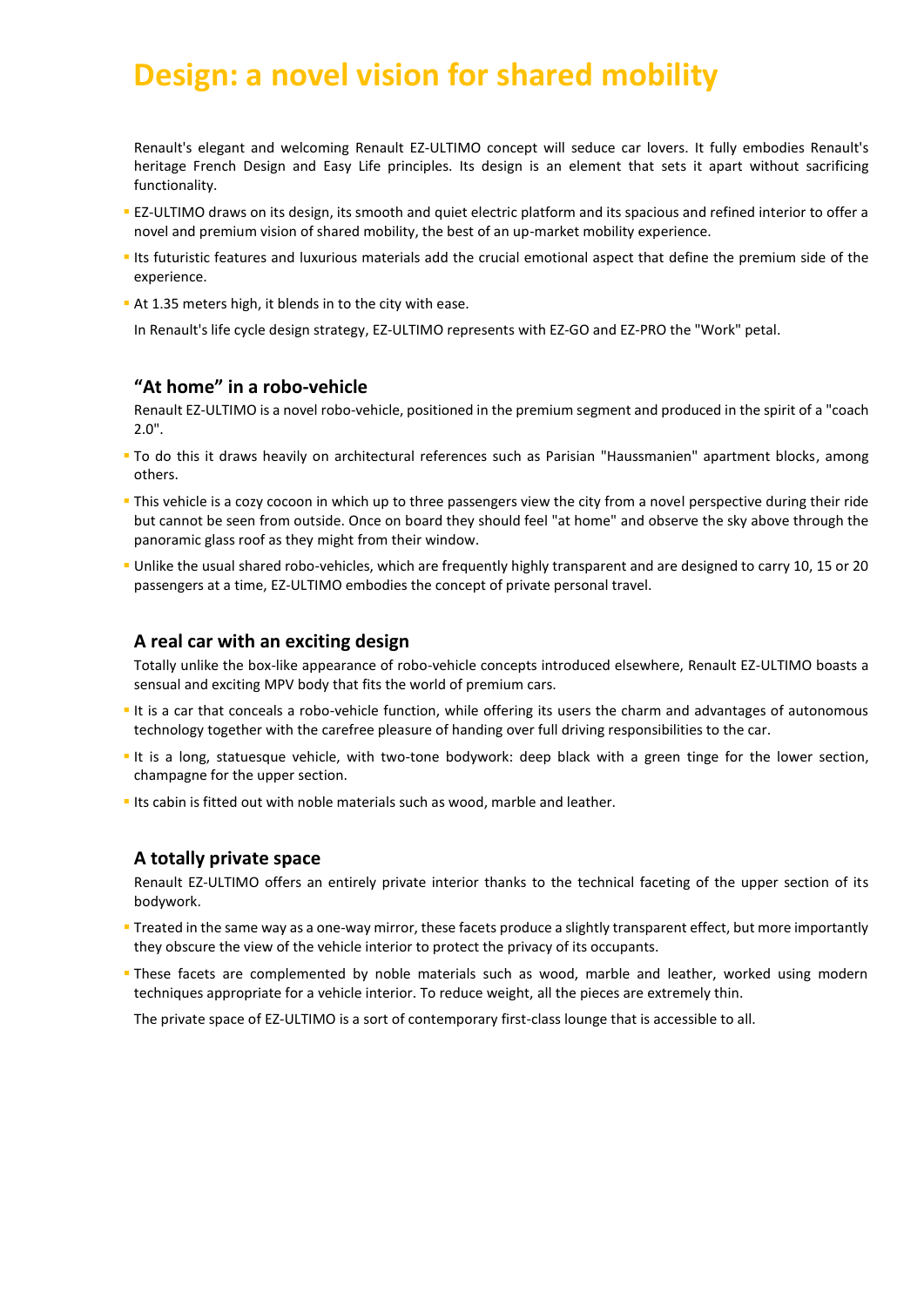# **Design: a novel vision for shared mobility**

Renault's elegant and welcoming Renault EZ-ULTIMO concept will seduce car lovers. It fully embodies Renault's heritage French Design and Easy Life principles. Its design is an element that sets it apart without sacrificing functionality.

- **EZ-ULTIMO draws on its design, its smooth and quiet electric platform and its spacious and refined interior to offer a** novel and premium vision of shared mobility, the best of an up-market mobility experience.
- Its futuristic features and luxurious materials add the crucial emotional aspect that define the premium side of the experience.
- At 1.35 meters high, it blends in to the city with ease.

In Renault's life cycle design strategy, EZ-ULTIMO represents with EZ-GO and EZ-PRO the "Work" petal.

### **"At home" in a robo-vehicle**

Renault EZ-ULTIMO is a novel robo-vehicle, positioned in the premium segment and produced in the spirit of a "coach 2.0".

- To do this it draws heavily on architectural references such as Parisian "Haussmanien" apartment blocks, among others.
- This vehicle is a cozy cocoon in which up to three passengers view the city from a novel perspective during their ride but cannot be seen from outside. Once on board they should feel "at home" and observe the sky above through the panoramic glass roof as they might from their window.
- Unlike the usual shared robo-vehicles, which are frequently highly transparent and are designed to carry 10, 15 or 20 passengers at a time, EZ-ULTIMO embodies the concept of private personal travel.

### **A real car with an exciting design**

Totally unlike the box-like appearance of robo-vehicle concepts introduced elsewhere, Renault EZ-ULTIMO boasts a sensual and exciting MPV body that fits the world of premium cars.

- It is a car that conceals a robo-vehicle function, while offering its users the charm and advantages of autonomous technology together with the carefree pleasure of handing over full driving responsibilities to the car.
- It is a long, statuesque vehicle, with two-tone bodywork: deep black with a green tinge for the lower section, champagne for the upper section.
- Its cabin is fitted out with noble materials such as wood, marble and leather.

### **A totally private space**

Renault EZ-ULTIMO offers an entirely private interior thanks to the technical faceting of the upper section of its bodywork.

- Treated in the same way as a one-way mirror, these facets produce a slightly transparent effect, but more importantly they obscure the view of the vehicle interior to protect the privacy of its occupants.
- These facets are complemented by noble materials such as wood, marble and leather, worked using modern techniques appropriate for a vehicle interior. To reduce weight, all the pieces are extremely thin.

The private space of EZ-ULTIMO is a sort of contemporary first-class lounge that is accessible to all.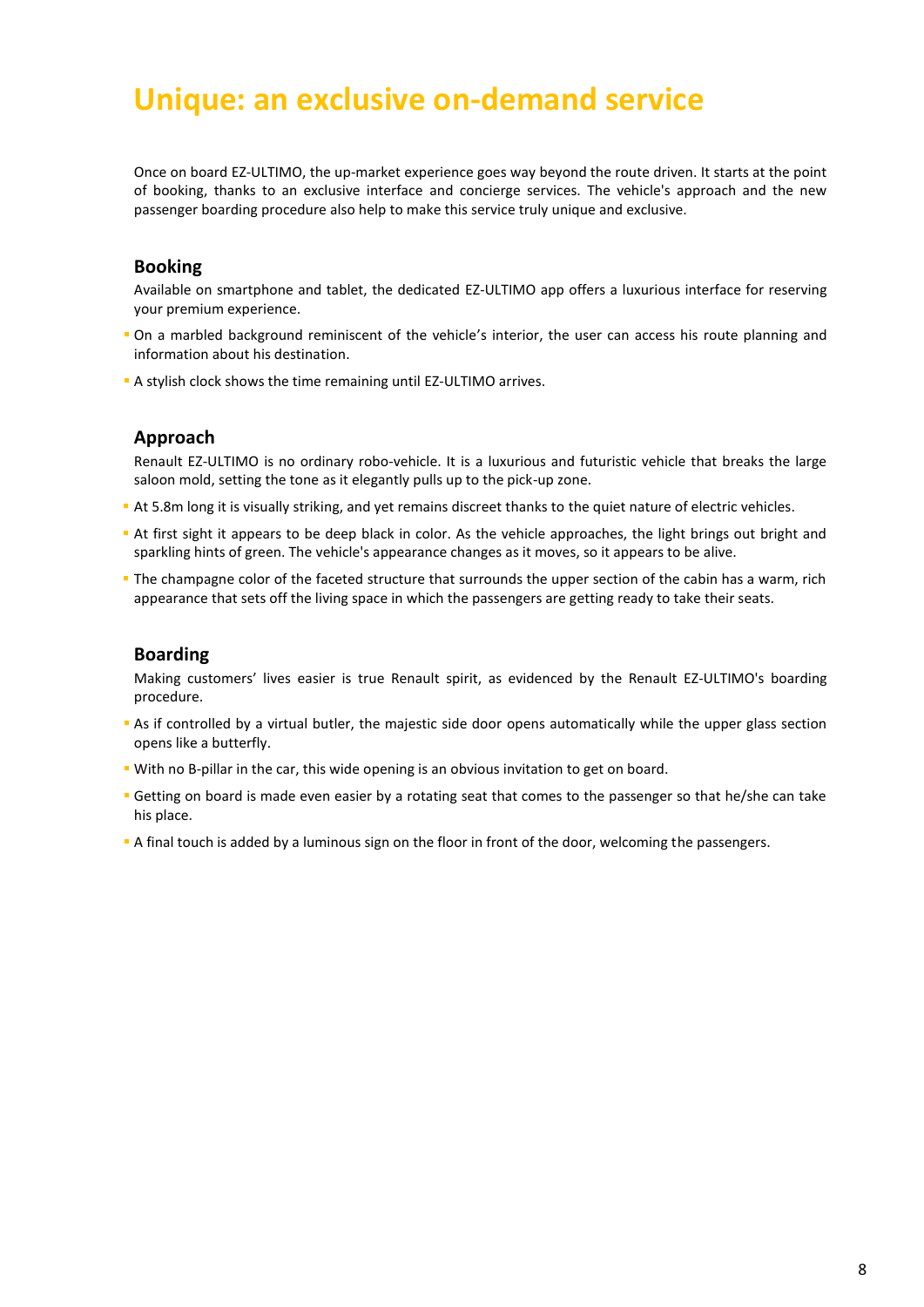### **Unique: an exclusive on-demand service**

Once on board EZ-ULTIMO, the up-market experience goes way beyond the route driven. It starts at the point of booking, thanks to an exclusive interface and concierge services. The vehicle's approach and the new passenger boarding procedure also help to make this service truly unique and exclusive.

### **Booking**

Available on smartphone and tablet, the dedicated EZ-ULTIMO app offers a luxurious interface for reserving your premium experience.

- On a marbled background reminiscent of the vehicle's interior, the user can access his route planning and information about his destination.
- A stylish clock shows the time remaining until EZ-ULTIMO arrives.

### **Approach**

Renault EZ-ULTIMO is no ordinary robo-vehicle. It is a luxurious and futuristic vehicle that breaks the large saloon mold, setting the tone as it elegantly pulls up to the pick-up zone.

- At 5.8m long it is visually striking, and yet remains discreet thanks to the quiet nature of electric vehicles.
- At first sight it appears to be deep black in color. As the vehicle approaches, the light brings out bright and sparkling hints of green. The vehicle's appearance changes as it moves, so it appears to be alive.
- The champagne color of the faceted structure that surrounds the upper section of the cabin has a warm, rich appearance that sets off the living space in which the passengers are getting ready to take their seats.

### **Boarding**

Making customers' lives easier is true Renault spirit, as evidenced by the Renault EZ-ULTIMO's boarding procedure.

- As if controlled by a virtual butler, the majestic side door opens automatically while the upper glass section opens like a butterfly.
- With no B-pillar in the car, this wide opening is an obvious invitation to get on board.
- **Getting on board is made even easier by a rotating seat that comes to the passenger so that he/she can take** his place.
- A final touch is added by a luminous sign on the floor in front of the door, welcoming the passengers.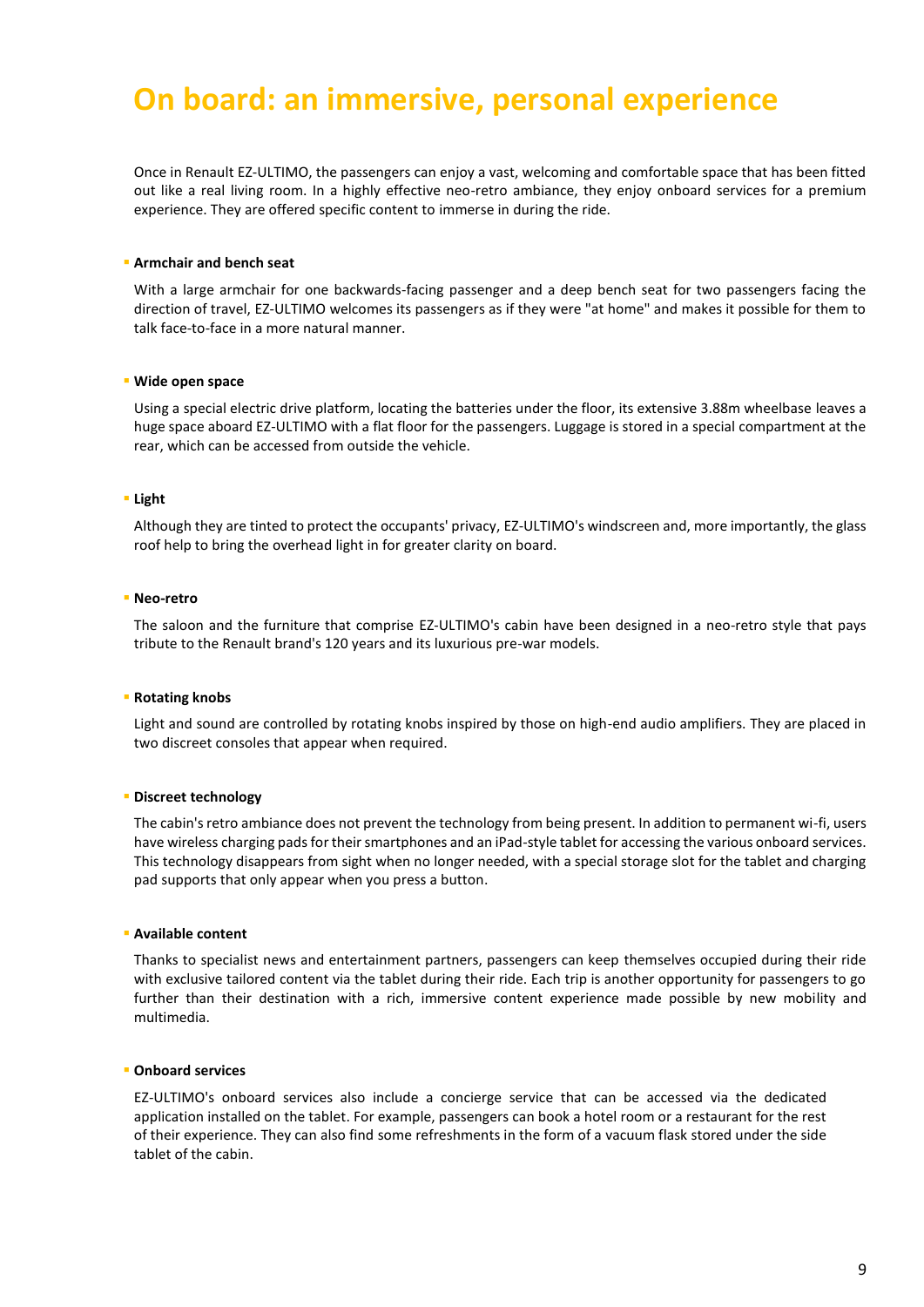# **On board: an immersive, personal experience**

Once in Renault EZ-ULTIMO, the passengers can enjoy a vast, welcoming and comfortable space that has been fitted out like a real living room. In a highly effective neo-retro ambiance, they enjoy onboard services for a premium experience. They are offered specific content to immerse in during the ride.

#### **Armchair and bench seat**

With a large armchair for one backwards-facing passenger and a deep bench seat for two passengers facing the direction of travel, EZ-ULTIMO welcomes its passengers as if they were "at home" and makes it possible for them to talk face-to-face in a more natural manner.

#### **Wide open space**

Using a special electric drive platform, locating the batteries under the floor, its extensive 3.88m wheelbase leaves a huge space aboard EZ-ULTIMO with a flat floor for the passengers. Luggage is stored in a special compartment at the rear, which can be accessed from outside the vehicle.

#### **Light**

Although they are tinted to protect the occupants' privacy, EZ-ULTIMO's windscreen and, more importantly, the glass roof help to bring the overhead light in for greater clarity on board.

#### **Neo-retro**

The saloon and the furniture that comprise EZ-ULTIMO's cabin have been designed in a neo-retro style that pays tribute to the Renault brand's 120 years and its luxurious pre-war models.

#### **Rotating knobs**

Light and sound are controlled by rotating knobs inspired by those on high-end audio amplifiers. They are placed in two discreet consoles that appear when required.

#### **Discreet technology**

The cabin's retro ambiance does not prevent the technology from being present. In addition to permanent wi-fi, users have wireless charging pads for their smartphones and an iPad-style tablet for accessing the various onboard services. This technology disappears from sight when no longer needed, with a special storage slot for the tablet and charging pad supports that only appear when you press a button.

#### **Available content**

Thanks to specialist news and entertainment partners, passengers can keep themselves occupied during their ride with exclusive tailored content via the tablet during their ride. Each trip is another opportunity for passengers to go further than their destination with a rich, immersive content experience made possible by new mobility and multimedia.

#### **Onboard services**

EZ-ULTIMO's onboard services also include a concierge service that can be accessed via the dedicated application installed on the tablet. For example, passengers can book a hotel room or a restaurant for the rest of their experience. They can also find some refreshments in the form of a vacuum flask stored under the side tablet of the cabin.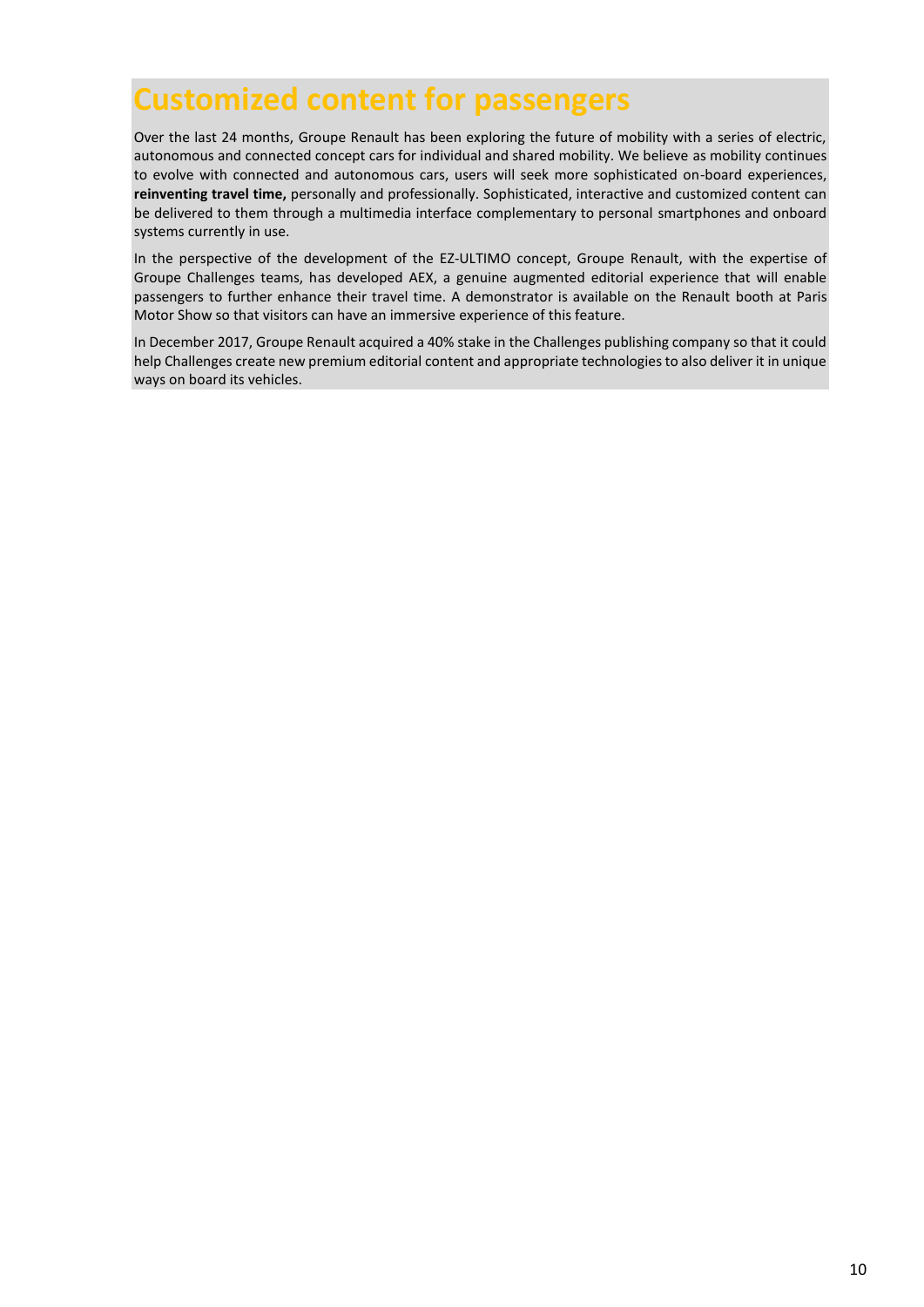### **Customized content for passengers**

Over the last 24 months, Groupe Renault has been exploring the future of mobility with a series of electric, autonomous and connected concept cars for individual and shared mobility. We believe as mobility continues to evolve with connected and autonomous cars, users will seek more sophisticated on-board experiences, **reinventing travel time,** personally and professionally. Sophisticated, interactive and customized content can be delivered to them through a multimedia interface complementary to personal smartphones and onboard systems currently in use.

In the perspective of the development of the EZ-ULTIMO concept, Groupe Renault, with the expertise of Groupe Challenges teams, has developed AEX, a genuine augmented editorial experience that will enable passengers to further enhance their travel time. A demonstrator is available on the Renault booth at Paris Motor Show so that visitors can have an immersive experience of this feature.

In December 2017, Groupe Renault acquired a 40% stake in the Challenges publishing company so that it could help Challenges create new premium editorial content and appropriate technologies to also deliver it in unique ways on board its vehicles.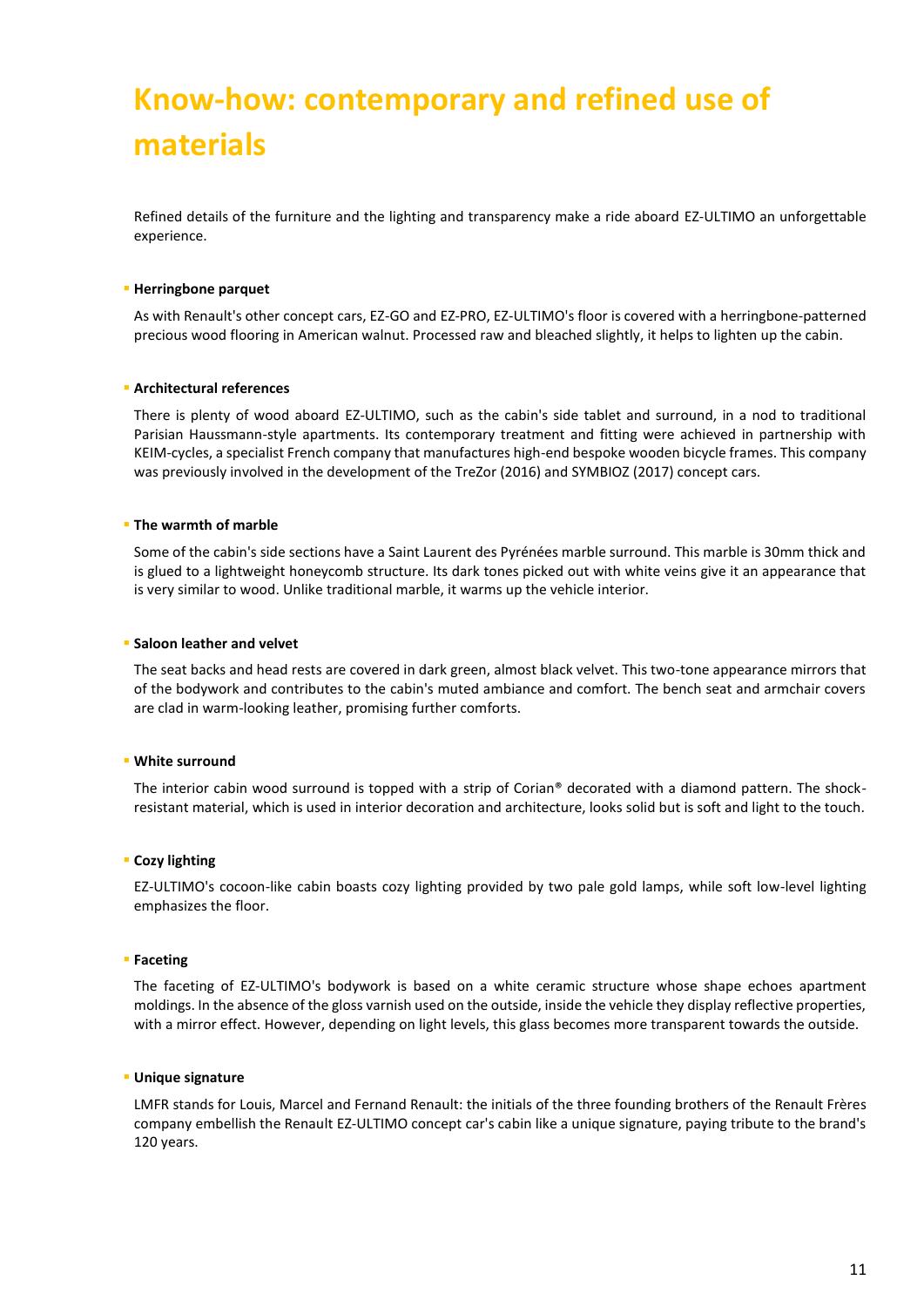# **Know-how: contemporary and refined use of materials**

Refined details of the furniture and the lighting and transparency make a ride aboard EZ-ULTIMO an unforgettable experience.

#### **Herringbone parquet**

As with Renault's other concept cars, EZ-GO and EZ-PRO, EZ-ULTIMO's floor is covered with a herringbone-patterned precious wood flooring in American walnut. Processed raw and bleached slightly, it helps to lighten up the cabin.

#### **Architectural references**

There is plenty of wood aboard EZ-ULTIMO, such as the cabin's side tablet and surround, in a nod to traditional Parisian Haussmann-style apartments. Its contemporary treatment and fitting were achieved in partnership with KEIM-cycles, a specialist French company that manufactures high-end bespoke wooden bicycle frames. This company was previously involved in the development of the TreZor (2016) and SYMBIOZ (2017) concept cars.

#### **The warmth of marble**

Some of the cabin's side sections have a Saint Laurent des Pyrénées marble surround. This marble is 30mm thick and is glued to a lightweight honeycomb structure. Its dark tones picked out with white veins give it an appearance that is very similar to wood. Unlike traditional marble, it warms up the vehicle interior.

#### **Saloon leather and velvet**

The seat backs and head rests are covered in dark green, almost black velvet. This two-tone appearance mirrors that of the bodywork and contributes to the cabin's muted ambiance and comfort. The bench seat and armchair covers are clad in warm-looking leather, promising further comforts.

#### **White surround**

The interior cabin wood surround is topped with a strip of Corian® decorated with a diamond pattern. The shockresistant material, which is used in interior decoration and architecture, looks solid but is soft and light to the touch.

#### **E** Cozy lighting

EZ-ULTIMO's cocoon-like cabin boasts cozy lighting provided by two pale gold lamps, while soft low-level lighting emphasizes the floor.

#### **Faceting**

The faceting of EZ-ULTIMO's bodywork is based on a white ceramic structure whose shape echoes apartment moldings. In the absence of the gloss varnish used on the outside, inside the vehicle they display reflective properties, with a mirror effect. However, depending on light levels, this glass becomes more transparent towards the outside.

#### **Unique signature**

LMFR stands for Louis, Marcel and Fernand Renault: the initials of the three founding brothers of the Renault Frères company embellish the Renault EZ-ULTIMO concept car's cabin like a unique signature, paying tribute to the brand's 120 years.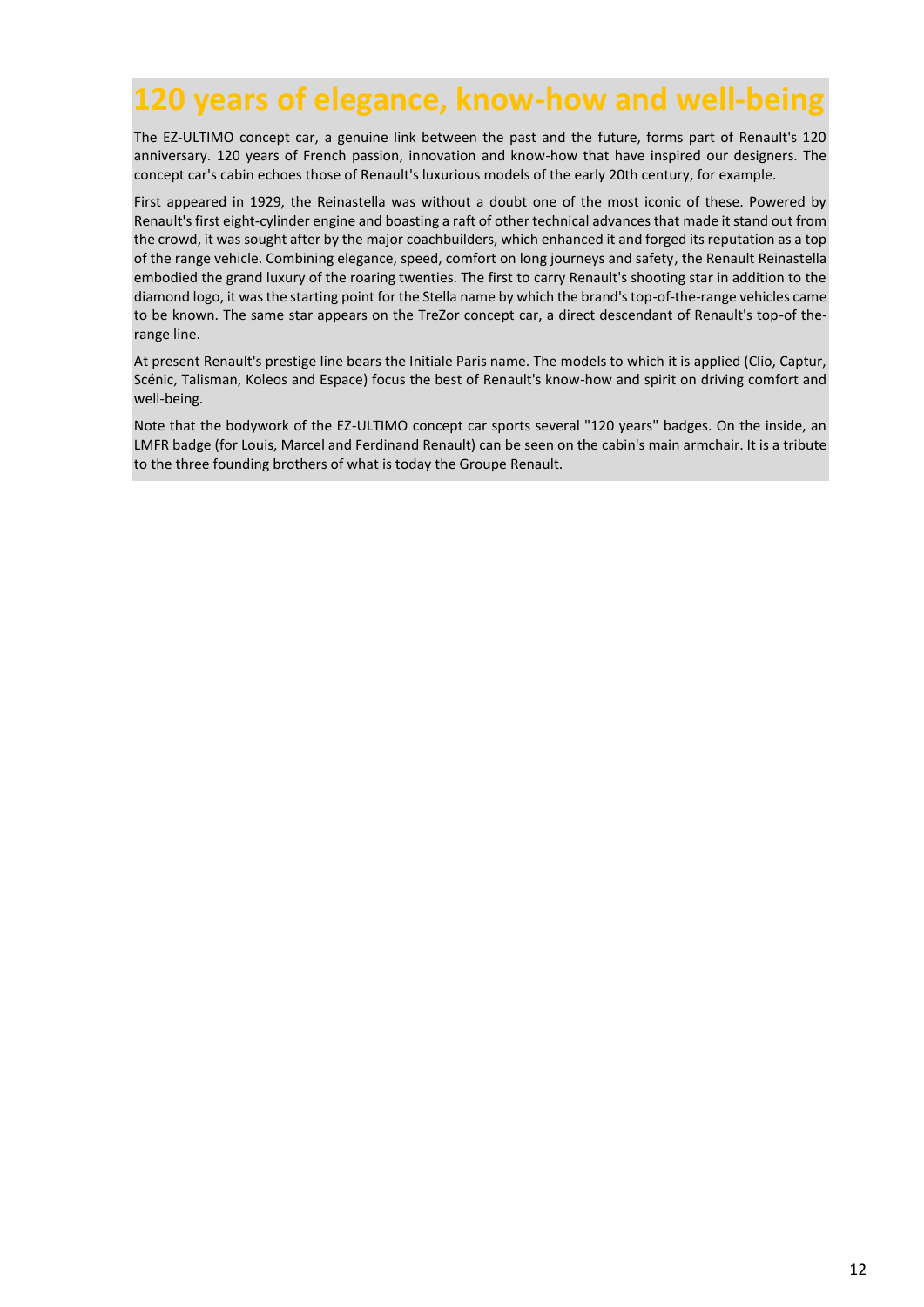# **120 years of elegance, know-how and well-being**

The EZ-ULTIMO concept car, a genuine link between the past and the future, forms part of Renault's 120 anniversary. 120 years of French passion, innovation and know-how that have inspired our designers. The concept car's cabin echoes those of Renault's luxurious models of the early 20th century, for example.

First appeared in 1929, the Reinastella was without a doubt one of the most iconic of these. Powered by Renault's first eight-cylinder engine and boasting a raft of other technical advances that made it stand out from the crowd, it was sought after by the major coachbuilders, which enhanced it and forged its reputation as a top of the range vehicle. Combining elegance, speed, comfort on long journeys and safety, the Renault Reinastella embodied the grand luxury of the roaring twenties. The first to carry Renault's shooting star in addition to the diamond logo, it was the starting point for the Stella name by which the brand's top-of-the-range vehicles came to be known. The same star appears on the TreZor concept car, a direct descendant of Renault's top-of therange line.

At present Renault's prestige line bears the Initiale Paris name. The models to which it is applied (Clio, Captur, Scénic, Talisman, Koleos and Espace) focus the best of Renault's know-how and spirit on driving comfort and well-being.

Note that the bodywork of the EZ-ULTIMO concept car sports several "120 years" badges. On the inside, an LMFR badge (for Louis, Marcel and Ferdinand Renault) can be seen on the cabin's main armchair. It is a tribute to the three founding brothers of what is today the Groupe Renault.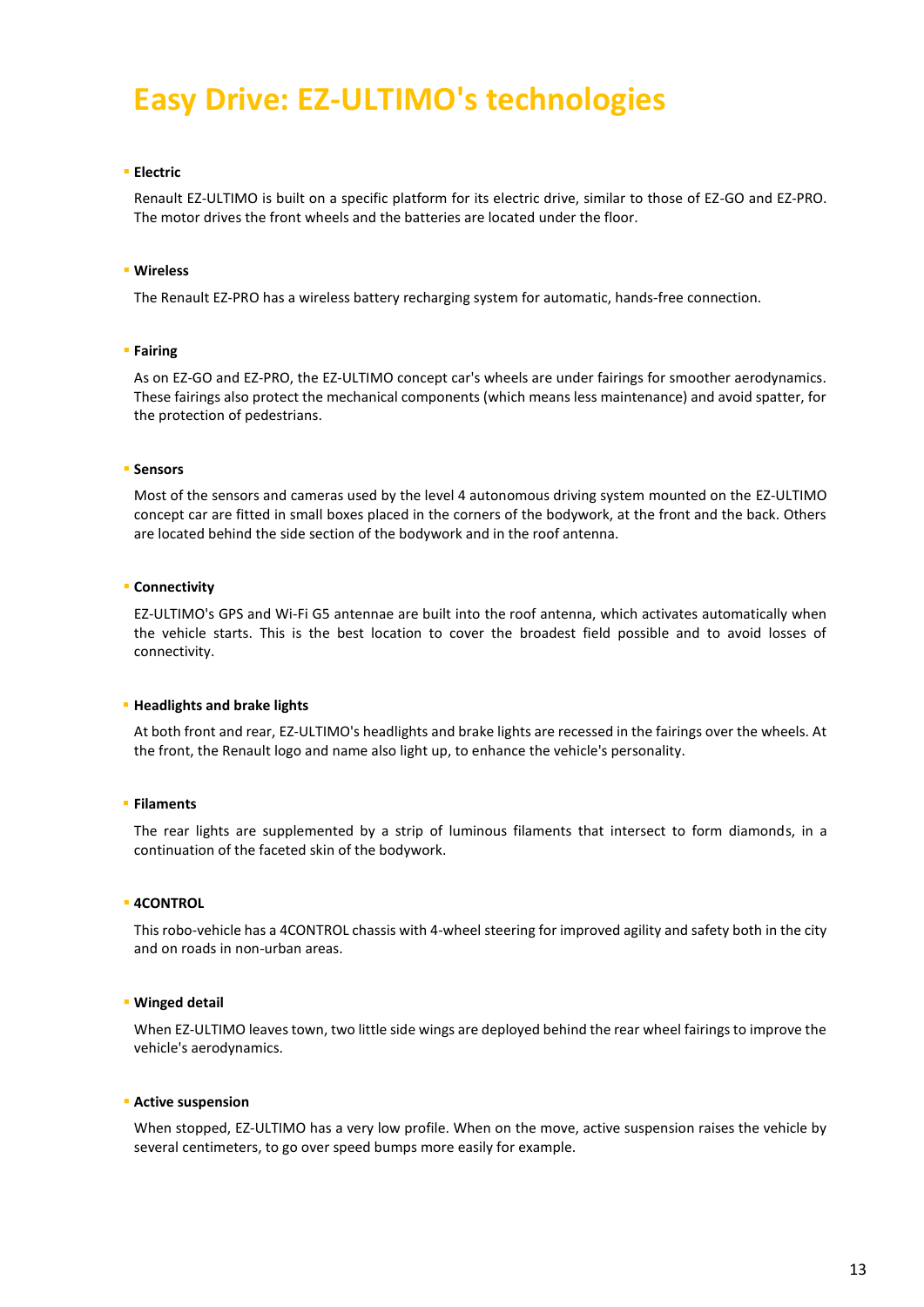# **Easy Drive: EZ-ULTIMO's technologies**

#### **Electric**

Renault EZ-ULTIMO is built on a specific platform for its electric drive, similar to those of EZ-GO and EZ-PRO. The motor drives the front wheels and the batteries are located under the floor.

#### **Wireless**

The Renault EZ-PRO has a wireless battery recharging system for automatic, hands-free connection.

#### **Fairing**

As on EZ-GO and EZ-PRO, the EZ-ULTIMO concept car's wheels are under fairings for smoother aerodynamics. These fairings also protect the mechanical components (which means less maintenance) and avoid spatter, for the protection of pedestrians.

#### **Sensors**

Most of the sensors and cameras used by the level 4 autonomous driving system mounted on the EZ-ULTIMO concept car are fitted in small boxes placed in the corners of the bodywork, at the front and the back. Others are located behind the side section of the bodywork and in the roof antenna.

#### **- Connectivity**

EZ-ULTIMO's GPS and Wi-Fi G5 antennae are built into the roof antenna, which activates automatically when the vehicle starts. This is the best location to cover the broadest field possible and to avoid losses of connectivity.

#### **Headlights and brake lights**

At both front and rear, EZ-ULTIMO's headlights and brake lights are recessed in the fairings over the wheels. At the front, the Renault logo and name also light up, to enhance the vehicle's personality.

#### **Filaments**

The rear lights are supplemented by a strip of luminous filaments that intersect to form diamonds, in a continuation of the faceted skin of the bodywork.

#### **4CONTROL**

This robo-vehicle has a 4CONTROL chassis with 4-wheel steering for improved agility and safety both in the city and on roads in non-urban areas.

#### **Winged detail**

When EZ-ULTIMO leaves town, two little side wings are deployed behind the rear wheel fairings to improve the vehicle's aerodynamics.

#### **Active suspension**

When stopped, EZ-ULTIMO has a very low profile. When on the move, active suspension raises the vehicle by several centimeters, to go over speed bumps more easily for example.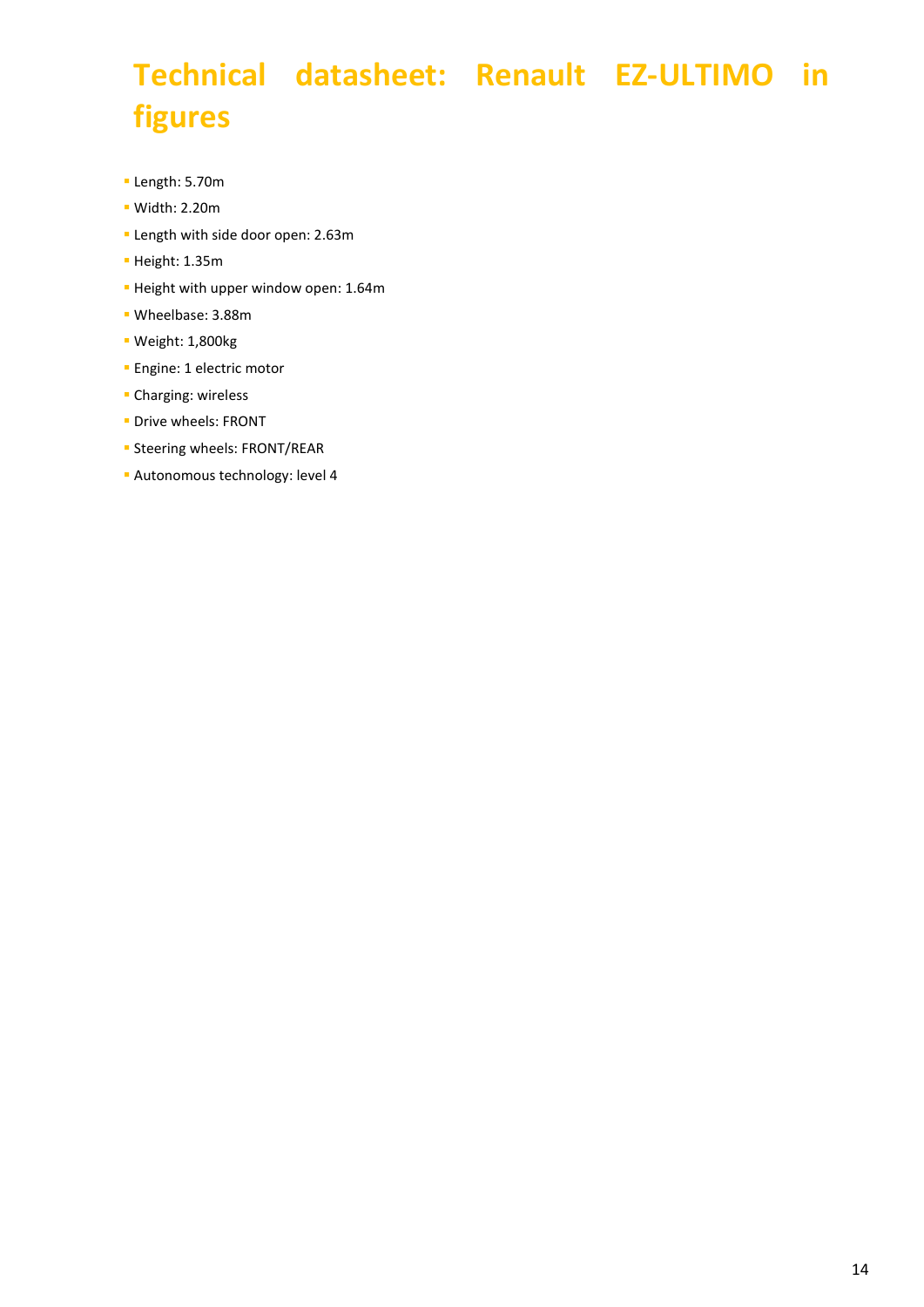# **Technical datasheet: Renault EZ-ULTIMO in figures**

- Length: 5.70m
- Width: 2.20m
- **Length with side door open: 2.63m**
- Height: 1.35m
- Height with upper window open: 1.64m
- Wheelbase: 3.88m
- Weight: 1,800kg
- **Engine: 1 electric motor**
- Charging: wireless
- **Drive wheels: FRONT**
- **Steering wheels: FRONT/REAR**
- **Autonomous technology: level 4**